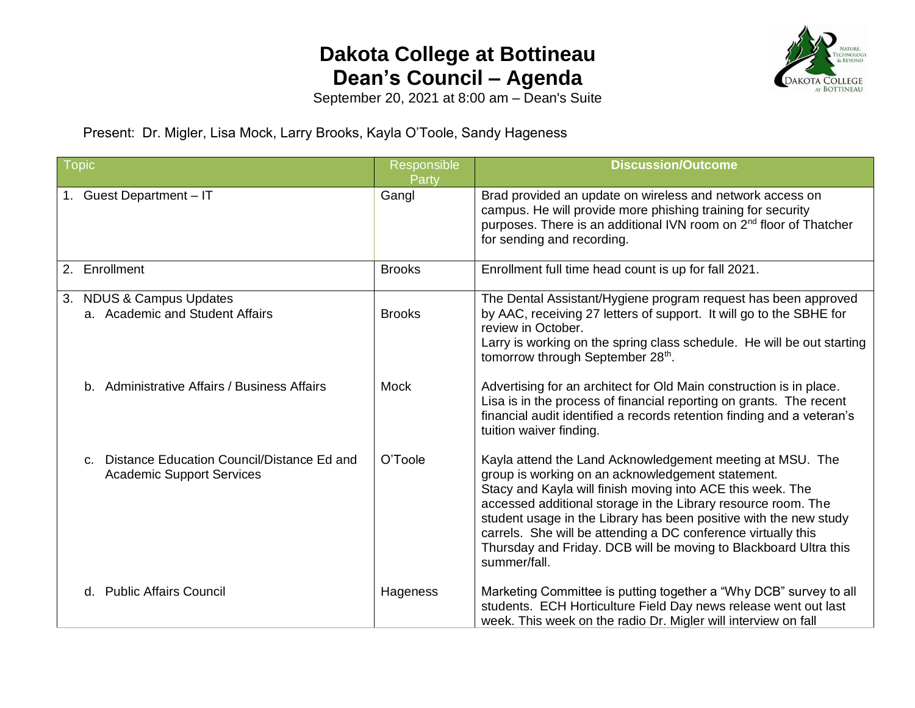## **Dakota College at Bottineau Dean's Council – Agenda**



September 20, 2021 at 8:00 am – Dean's Suite

Present: Dr. Migler, Lisa Mock, Larry Brooks, Kayla O'Toole, Sandy Hageness

| <b>Topic</b>                                                                                  | Responsible<br>Party | <b>Discussion/Outcome</b>                                                                                                                                                                                                                                                                                                                                                                                                                                               |
|-----------------------------------------------------------------------------------------------|----------------------|-------------------------------------------------------------------------------------------------------------------------------------------------------------------------------------------------------------------------------------------------------------------------------------------------------------------------------------------------------------------------------------------------------------------------------------------------------------------------|
| 1. Guest Department - IT                                                                      | Gangl                | Brad provided an update on wireless and network access on<br>campus. He will provide more phishing training for security<br>purposes. There is an additional IVN room on 2 <sup>nd</sup> floor of Thatcher<br>for sending and recording.                                                                                                                                                                                                                                |
| 2. Enrollment                                                                                 | <b>Brooks</b>        | Enrollment full time head count is up for fall 2021.                                                                                                                                                                                                                                                                                                                                                                                                                    |
| 3.<br><b>NDUS &amp; Campus Updates</b><br>a. Academic and Student Affairs                     | <b>Brooks</b>        | The Dental Assistant/Hygiene program request has been approved<br>by AAC, receiving 27 letters of support. It will go to the SBHE for<br>review in October.<br>Larry is working on the spring class schedule. He will be out starting<br>tomorrow through September 28th.                                                                                                                                                                                               |
| b. Administrative Affairs / Business Affairs                                                  | <b>Mock</b>          | Advertising for an architect for Old Main construction is in place.<br>Lisa is in the process of financial reporting on grants. The recent<br>financial audit identified a records retention finding and a veteran's<br>tuition waiver finding.                                                                                                                                                                                                                         |
| Distance Education Council/Distance Ed and<br>$C_{\cdot}$<br><b>Academic Support Services</b> | O'Toole              | Kayla attend the Land Acknowledgement meeting at MSU. The<br>group is working on an acknowledgement statement.<br>Stacy and Kayla will finish moving into ACE this week. The<br>accessed additional storage in the Library resource room. The<br>student usage in the Library has been positive with the new study<br>carrels. She will be attending a DC conference virtually this<br>Thursday and Friday. DCB will be moving to Blackboard Ultra this<br>summer/fall. |
| d. Public Affairs Council                                                                     | Hageness             | Marketing Committee is putting together a "Why DCB" survey to all<br>students. ECH Horticulture Field Day news release went out last<br>week. This week on the radio Dr. Migler will interview on fall                                                                                                                                                                                                                                                                  |